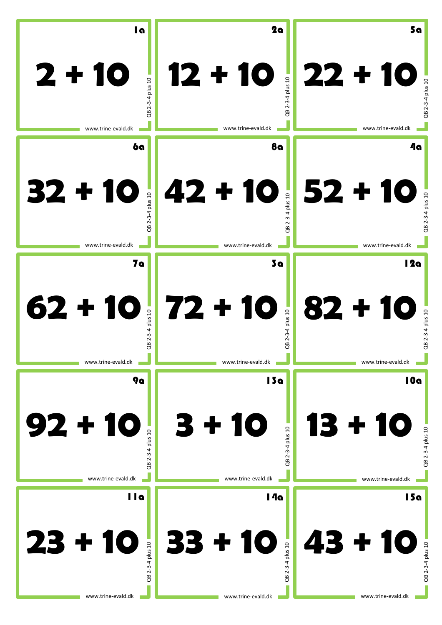